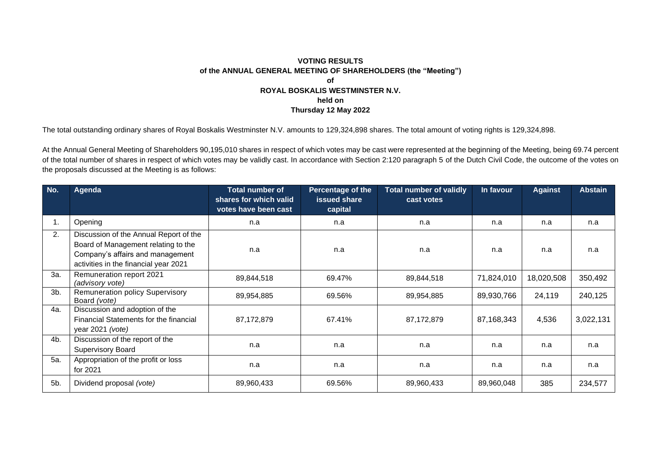## **VOTING RESULTS of the ANNUAL GENERAL MEETING OF SHAREHOLDERS (the "Meeting") of ROYAL BOSKALIS WESTMINSTER N.V. held on Thursday 12 May 2022**

The total outstanding ordinary shares of Royal Boskalis Westminster N.V. amounts to 129,324,898 shares. The total amount of voting rights is 129,324,898.

At the Annual General Meeting of Shareholders 90,195,010 shares in respect of which votes may be cast were represented at the beginning of the Meeting, being 69.74 percent of the total number of shares in respect of which votes may be validly cast. In accordance with Section 2:120 paragraph 5 of the Dutch Civil Code, the outcome of the votes on the proposals discussed at the Meeting is as follows:

| No.    | Agenda                                                                                                                                                     | <b>Total number of</b><br>shares for which valid<br>votes have been cast | <b>Percentage of the</b><br><b>issued share</b><br>capital | <b>Total number of validly</b><br>cast votes | In favour  | <b>Against</b> | <b>Abstain</b> |
|--------|------------------------------------------------------------------------------------------------------------------------------------------------------------|--------------------------------------------------------------------------|------------------------------------------------------------|----------------------------------------------|------------|----------------|----------------|
|        | Opening                                                                                                                                                    | n.a                                                                      | n.a                                                        | n.a                                          | n.a        | n.a            | n.a            |
| 2.     | Discussion of the Annual Report of the<br>Board of Management relating to the<br>Company's affairs and management<br>activities in the financial year 2021 | n.a                                                                      | n.a                                                        | n.a                                          | n.a        | n.a            | n.a            |
| За.    | Remuneration report 2021<br>(advisory vote)                                                                                                                | 89,844,518                                                               | 69.47%                                                     | 89,844,518                                   | 71,824,010 | 18,020,508     | 350,492        |
| $3b$ . | <b>Remuneration policy Supervisory</b><br>Board (vote)                                                                                                     | 89,954,885                                                               | 69.56%                                                     | 89,954,885                                   | 89,930,766 | 24,119         | 240,125        |
| 4a.    | Discussion and adoption of the<br>Financial Statements for the financial<br>year 2021 (vote)                                                               | 87,172,879                                                               | 67.41%                                                     | 87,172,879                                   | 87,168,343 | 4,536          | 3,022,131      |
| 4b.    | Discussion of the report of the<br><b>Supervisory Board</b>                                                                                                | n.a                                                                      | n.a                                                        | n.a                                          | n.a        | n.a            | n.a            |
| 5a.    | Appropriation of the profit or loss<br>for 2021                                                                                                            | n.a                                                                      | n.a                                                        | n.a                                          | n.a        | n.a            | n.a            |
| 5b.    | Dividend proposal (vote)                                                                                                                                   | 89,960,433                                                               | 69.56%                                                     | 89,960,433                                   | 89,960,048 | 385            | 234,577        |